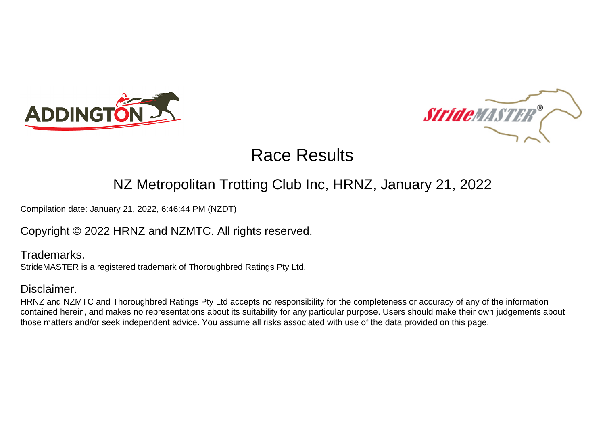



## NZ Metropolitan Trotting Club Inc, HRNZ, January 21, 2022

Compilation date: January 21, 2022, 6:46:44 PM (NZDT)

### Copyright © 2022 HRNZ and NZMTC. All rights reserved.

Trademarks. StrideMASTER is a registered trademark of Thoroughbred Ratings Pty Ltd.

### Disclaimer.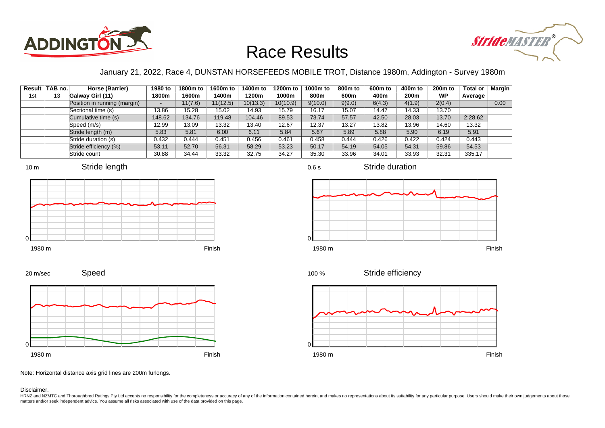



### January 21, 2022, Race 4, DUNSTAN HORSEFEEDS MOBILE TROT, Distance 1980m, Addington - Survey 1980m

|     | Result TAB no. | Horse (Barrier)              | 1980 to | 1800m to | 1600m to | 1400m to | 1200m to | 1000m to | 800m to | 600m to | 400m to          | $200m$ to | <b>Total or</b> | <b>Margin</b> |
|-----|----------------|------------------------------|---------|----------|----------|----------|----------|----------|---------|---------|------------------|-----------|-----------------|---------------|
| 1st | 13             | Galway Girl (11)             | 1800m   | 1600m    | 1400m    | 1200m    | 1000m    | 800m     | 600m    | 400m    | 200 <sub>m</sub> | <b>WP</b> | Average         |               |
|     |                | Position in running (margin) | -       | 11(7.6)  | 11(12.5) | 10(13.3) | 10(10.9) | 9(10.0)  | 9(9.0)  | 6(4.3)  | 4(1.9)           | 2(0.4)    |                 | 0.00          |
|     |                | Sectional time (s)           | 13.86   | 15.28    | 15.02    | 14.93    | 15.79    | 16.17    | 15.07   | 14.47   | 14.33            | 13.70     |                 |               |
|     |                | Cumulative time (s)          | 148.62  | 134.76   | 119.48   | 104.46   | 89.53    | 73.74    | 57.57   | 42.50   | 28.03            | 13.70     | 2:28.62         |               |
|     |                | Speed (m/s)                  | 12.99   | 13.09    | 13.32    | 13.40    | 12.67    | 12.37    | 13.27   | 13.82   | 13.96            | 14.60     | 13.32           |               |
|     |                | Stride length (m)            | 5.83    | 5.81     | 6.00     | 6.11     | 5.84     | 5.67     | 5.89    | 5.88    | 5.90             | 6.19      | 5.91            |               |
|     |                | Stride duration (s)          | 0.432   | 0.444    | 0.451    | 0.456    | 0.461    | 0.458    | 0.444   | 0.426   | 0.422            | 0.424     | 0.443           |               |
|     |                | Stride efficiency (%)        | 53.11   | 52.70    | 56.31    | 58.29    | 53.23    | 50.17    | 54.19   | 54.05   | 54.31            | 59.86     | 54.53           |               |
|     |                | Stride count                 | 30.88   | 34.44    | 33.32    | 32.75    | 34.27    | 35.30    | 33.96   | 34.01   | 33.93            | 32.31     | 335.17          |               |







Stride duration



Speed







Note: Horizontal distance axis grid lines are 200m furlongs.

#### Disclaimer.

HRNZ and NZMTC and Thoroughbred Ratings Pty Ltd accepts no responsibility for the completeness or accuracy of any of the information contained herein, and makes no representations about its suitability for any particular p matters and/or seek independent advice. You assume all risks associated with use of the data provided on this page.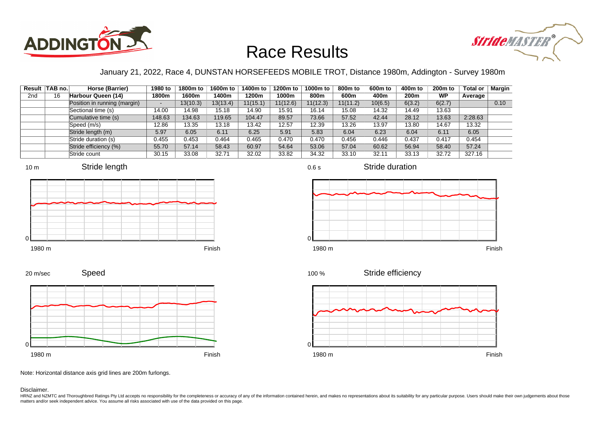



### January 21, 2022, Race 4, DUNSTAN HORSEFEEDS MOBILE TROT, Distance 1980m, Addington - Survey 1980m

|                 | Result   TAB no. | Horse (Barrier)              | 1980 to | 1800m to | 1600m to | 1400m to | 1200m to | 1000m to | 800 <sub>m</sub> to | 600m to | 400m to          | 200 <sub>m</sub> to | <b>Total or</b> | Margin |
|-----------------|------------------|------------------------------|---------|----------|----------|----------|----------|----------|---------------------|---------|------------------|---------------------|-----------------|--------|
| 2 <sub>nd</sub> | 16               | Harbour Queen (14)           | 1800m   | 1600m    | 1400m    | 1200m    | 1000m    | 800m     | 600m                | 400m    | 200 <sub>m</sub> | WP                  | Average         |        |
|                 |                  | Position in running (margin) | -       | 13(10.3) | 13(13.4) | 11(15.1) | 11(12.6) | 11(12.3) | 11(11.2)            | 10(6.5) | 6(3.2)           | 6(2.7)              |                 | 0.10   |
|                 |                  | Sectional time (s)           | 14.00   | 14.98    | 15.18    | 14.90    | 15.91    | 16.14    | 15.08               | 14.32   | 14.49            | 13.63               |                 |        |
|                 |                  | Cumulative time (s)          | 148.63  | 134.63   | 119.65   | 104.47   | 89.57    | 73.66    | 57.52               | 42.44   | 28.12            | 13.63               | 2:28.63         |        |
|                 |                  | Speed (m/s)                  | 12.86   | 13.35    | 13.18    | 13.42    | 12.57    | 12.39    | 13.26               | 13.97   | 13.80            | 14.67               | 13.32           |        |
|                 |                  | Stride length (m)            | 5.97    | 6.05     | 6.11     | 6.25     | 5.91     | 5.83     | 6.04                | 6.23    | 6.04             | 6.11                | 6.05            |        |
|                 |                  | Stride duration (s)          | 0.455   | 0.453    | 0.464    | 0.465    | 0.470    | 0.470    | 0.456               | 0.446   | 0.437            | 0.417               | 0.454           |        |
|                 |                  | Stride efficiency (%)        | 55.70   | 57.14    | 58.43    | 60.97    | 54.64    | 53.06    | 57.04               | 60.62   | 56.94            | 58.40               | 57.24           |        |
|                 |                  | Stride count                 | 30.15   | 33.08    | 32.71    | 32.02    | 33.82    | 34.32    | 33.10               | 32.11   | 33.13            | 32.72               | 327.16          |        |











Stride duration



Stride efficiency 100 %



Note: Horizontal distance axis grid lines are 200m furlongs.

Speed

#### Disclaimer.

20 m/sec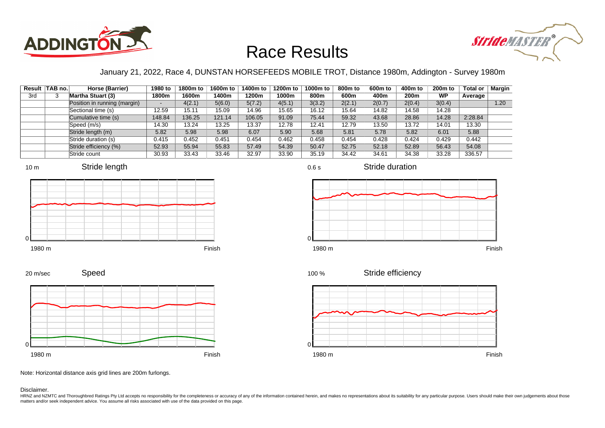



### January 21, 2022, Race 4, DUNSTAN HORSEFEEDS MOBILE TROT, Distance 1980m, Addington - Survey 1980m

|     | Result TAB no. | Horse (Barrier)              | 1980 to                  | 1800m to | 1600m to | 1400m to | 1200m to | 1000m to | 800m to | 600 <sub>m</sub> to | 400m to | 200 <sub>m</sub> to | <b>Total or</b> | Margin |
|-----|----------------|------------------------------|--------------------------|----------|----------|----------|----------|----------|---------|---------------------|---------|---------------------|-----------------|--------|
| 3rd |                | <b>Martha Stuart (3)</b>     | 1800m                    | 1600m    | 1400m    | 1200m    | 1000m    | 800m     | 600m    | 400m                | 200m    | <b>WP</b>           | Average         |        |
|     |                | Position in running (margin) | $\overline{\phantom{0}}$ | 4(2.1)   | 5(6.0)   | 5(7.2)   | 4(5.1)   | 3(3.2)   | 2(2.1)  | 2(0.7)              | 2(0.4)  | 3(0.4)              |                 | 1.20   |
|     |                | Sectional time (s)           | 12.59                    | 15.11    | 15.09    | 14.96    | 15.65    | 16.12    | 15.64   | 14.82               | 14.58   | 14.28               |                 |        |
|     |                | Cumulative time (s)          | 148.84                   | 136.25   | 121.14   | 106.05   | 91.09    | 75.44    | 59.32   | 43.68               | 28.86   | 14.28               | 2:28.84         |        |
|     |                | Speed (m/s)                  | 14.30                    | 13.24    | 13.25    | 13.37    | 12.78    | 12.41    | 12.79   | 13.50               | 13.72   | 14.01               | 13.30           |        |
|     |                | Stride length (m)            | 5.82                     | 5.98     | 5.98     | 6.07     | 5.90     | 5.68     | 5.81    | 5.78                | 5.82    | 6.01                | 5.88            |        |
|     |                | Stride duration (s)          | 0.415                    | 0.452    | 0.451    | 0.454    | 0.462    | 0.458    | 0.454   | 0.428               | 0.424   | 0.429               | 0.442           |        |
|     |                | Stride efficiency (%)        | 52.93                    | 55.94    | 55.83    | 57.49    | 54.39    | 50.47    | 52.75   | 52.18               | 52.89   | 56.43               | 54.08           |        |
|     |                | Stride count                 | 30.93                    | 33.43    | 33.46    | 32.97    | 33.90    | 35.19    | 34.42   | 34.61               | 34.38   | 33.28               | 336.57          |        |









Stride duration











Note: Horizontal distance axis grid lines are 200m furlongs.

Speed

Disclaimer.

20 m/sec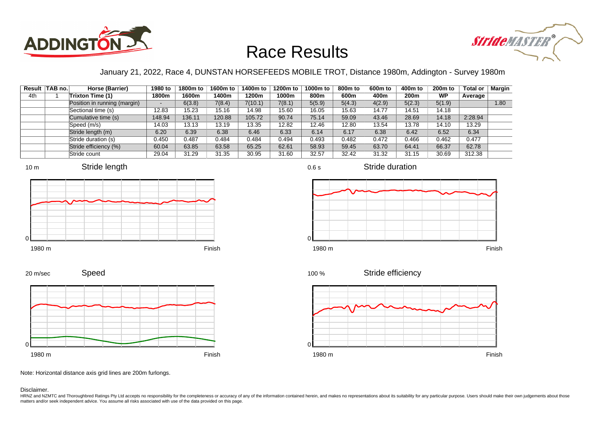



### January 21, 2022, Race 4, DUNSTAN HORSEFEEDS MOBILE TROT, Distance 1980m, Addington - Survey 1980m

0.6 s

|     | Result TAB no. | Horse (Barrier)              | 1980 to                  | 1800m to | 1600m to | 1400m to | 1200m to | 1000m to | 800m to | 600 <sub>m</sub> to | 400m to | 200 <sub>m</sub> to | <b>Total or</b> | Margin |
|-----|----------------|------------------------------|--------------------------|----------|----------|----------|----------|----------|---------|---------------------|---------|---------------------|-----------------|--------|
| 4th |                | Trixton Time (1)             | 1800m                    | 1600m    | 1400m    | 1200m    | 1000m    | 800m     | 600m    | 400m                | 200m    | <b>WP</b>           | Average         |        |
|     |                | Position in running (margin) | $\overline{\phantom{0}}$ | 6(3.8)   | 7(8.4)   | 7(10.1)  | 7(8.1)   | 5(5.9)   | 5(4.3)  | 4(2.9)              | 5(2.3)  | 5(1.9)              |                 | 1.80   |
|     |                | Sectional time (s)           | 12.83                    | 15.23    | 15.16    | 14.98    | 15.60    | 16.05    | 15.63   | 14.77               | 14.51   | 14.18               |                 |        |
|     |                | Cumulative time (s)          | 148.94                   | 136.11   | 120.88   | 105.72   | 90.74    | 75.14    | 59.09   | 43.46               | 28.69   | 14.18               | 2:28.94         |        |
|     |                | Speed (m/s)                  | 14.03                    | 13.13    | 13.19    | 13.35    | 12.82    | 12.46    | 12.80   | 13.54               | 13.78   | 14.10               | 13.29           |        |
|     |                | Stride length (m)            | 6.20                     | 6.39     | 6.38     | 6.46     | 6.33     | 6.14     | 6.17    | 6.38                | 6.42    | 6.52                | 6.34            |        |
|     |                | Stride duration (s)          | 0.450                    | 0.487    | 0.484    | 0.484    | 0.494    | 0.493    | 0.482   | 0.472               | 0.466   | 0.462               | 0.477           |        |
|     |                | Stride efficiency (%)        | 60.04                    | 63.85    | 63.58    | 65.25    | 62.61    | 58.93    | 59.45   | 63.70               | 64.41   | 66.37               | 62.78           |        |
|     |                | Stride count                 | 29.04                    | 31.29    | 31.35    | 30.95    | 31.60    | 32.57    | 32.42   | 31.32               | 31.15   | 30.69               | 312.38          |        |







Stride duration





1980 m Finish





Note: Horizontal distance axis grid lines are 200m furlongs.

Disclaimer.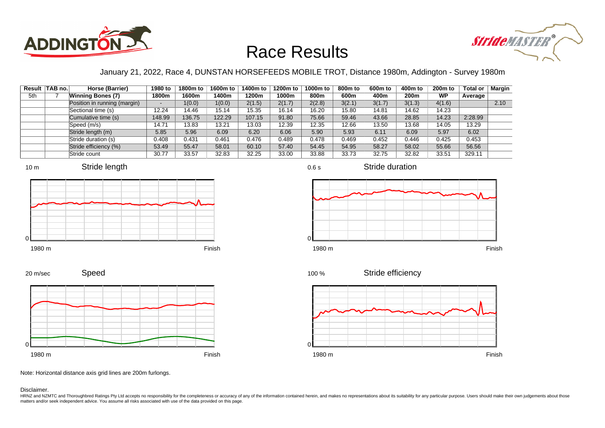



### January 21, 2022, Race 4, DUNSTAN HORSEFEEDS MOBILE TROT, Distance 1980m, Addington - Survey 1980m

|     | Result TAB no. | Horse (Barrier)              | 1980 to                  | 1800m to | 1600m to | 1400m to | 1200m to | 1000m to | 800m to | 600 <sub>m</sub> to | 400m to | 200 <sub>m</sub> to | <b>Total or</b> | <b>Margin</b> |
|-----|----------------|------------------------------|--------------------------|----------|----------|----------|----------|----------|---------|---------------------|---------|---------------------|-----------------|---------------|
| 5th |                | <b>Winning Bones (7)</b>     | 1800m                    | 1600m    | 1400m    | 1200m    | 1000m    | 800m     | 600m    | 400m                | 200m    | <b>WP</b>           | Average         |               |
|     |                | Position in running (margin) | $\overline{\phantom{a}}$ | 1(0.0)   | 1(0.0)   | 2(1.5)   | 2(1.7)   | 2(2.8)   | 3(2.1)  | 3(1.7)              | 3(1.3)  | 4(1.6)              |                 | 2.10          |
|     |                | Sectional time (s)           | 12.24                    | 14.46    | 15.14    | 15.35    | 16.14    | 16.20    | 15.80   | 14.81               | 14.62   | 14.23               |                 |               |
|     |                | Cumulative time (s)          | 148.99                   | 136.75   | 122.29   | 107.15   | 91.80    | 75.66    | 59.46   | 43.66               | 28.85   | 14.23               | 2:28.99         |               |
|     |                | Speed (m/s)                  | 14.71                    | 13.83    | 13.21    | 13.03    | 12.39    | 12.35    | 12.66   | 13.50               | 13.68   | 14.05               | 13.29           |               |
|     |                | Stride length (m)            | 5.85                     | 5.96     | 6.09     | 6.20     | 6.06     | 5.90     | 5.93    | 6.11                | 6.09    | 5.97                | 6.02            |               |
|     |                | Stride duration (s)          | 0.408                    | 0.431    | 0.461    | 0.476    | 0.489    | 0.478    | 0.469   | 0.452               | 0.446   | 0.425               | 0.453           |               |
|     |                | Stride efficiency (%)        | 53.49                    | 55.47    | 58.01    | 60.10    | 57.40    | 54.45    | 54.95   | 58.27               | 58.02   | 55.66               | 56.56           |               |
|     |                | Stride count                 | 30.77                    | 33.57    | 32.83    | 32.25    | 33.00    | 33.88    | 33.73   | 32.75               | 32.82   | 33.51               | 329.11          |               |







Stride duration

Speed 20 m/sec



Stride efficiency 100 %



Note: Horizontal distance axis grid lines are 200m furlongs.

Disclaimer.

HRNZ and NZMTC and Thoroughbred Ratings Pty Ltd accepts no responsibility for the completeness or accuracy of any of the information contained herein, and makes no representations about its suitability for any particular p matters and/or seek independent advice. You assume all risks associated with use of the data provided on this page.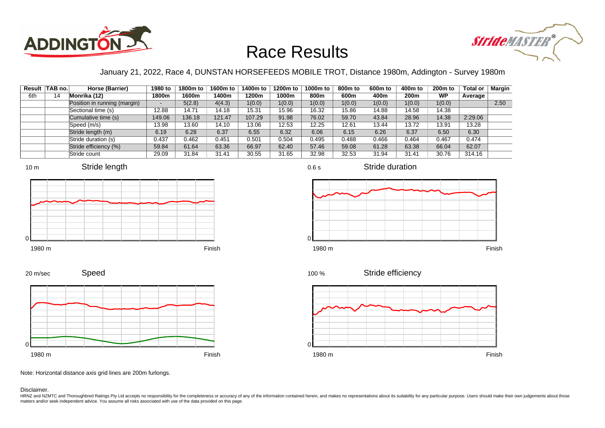



### January 21, 2022, Race 4, DUNSTAN HORSEFEEDS MOBILE TROT, Distance 1980m, Addington - Survey 1980m

0.6 s

|     | Result TAB no. | Horse (Barrier)              | 1980 to                  | 1800m to | 1600m to | 1400m to | 1200m to | 1000m to | 800m to | 600 <sub>m</sub> to | 400m to | 200 <sub>m</sub> to | <b>Total or</b> | <b>Margin</b> |
|-----|----------------|------------------------------|--------------------------|----------|----------|----------|----------|----------|---------|---------------------|---------|---------------------|-----------------|---------------|
| 6th | 14             | Monrika (12)                 | 1800m                    | 1600m    | 1400m    | 1200m    | 1000m    | 800m     | 600m    | 400m                | 200m    | <b>WP</b>           | Average         |               |
|     |                | Position in running (margin) | $\overline{\phantom{0}}$ | 5(2.8)   | 4(4.3)   | 1(0.0)   | 1(0.0)   | 1(0.0)   | 1(0.0)  | 1(0.0)              | 1(0.0)  | 1(0.0)              |                 | 2.50          |
|     |                | Sectional time (s)           | 12.88                    | 14.71    | 14.18    | 15.31    | 15.96    | 16.32    | 15.86   | 14.88               | 14.58   | 14.38               |                 |               |
|     |                | Cumulative time (s)          | 149.06                   | 136.18   | 121.47   | 107.29   | 91.98    | 76.02    | 59.70   | 43.84               | 28.96   | 14.38               | 2:29.06         |               |
|     |                | Speed (m/s)                  | 13.98                    | 13.60    | 14.10    | 13.06    | 12.53    | 12.25    | 12.61   | 13.44               | 13.72   | 13.91               | 13.28           |               |
|     |                | Stride length (m)            | 6.19                     | 6.28     | 6.37     | 6.55     | 6.32     | 6.06     | 6.15    | 6.26                | 6.37    | 6.50                | 6.30            |               |
|     |                | Stride duration (s)          | 0.437                    | 0.462    | 0.451    | 0.501    | 0.504    | 0.495    | 0.488   | 0.466               | 0.464   | 0.467               | 0.474           |               |
|     |                | Stride efficiency (%)        | 59.84                    | 61.64    | 63.36    | 66.97    | 62.40    | 57.46    | 59.08   | 61.28               | 63.38   | 66.04               | 62.07           |               |
|     |                | Stride count                 | 29.09                    | 31.84    | 31.41    | 30.55    | 31.65    | 32.98    | 32.53   | 31.94               | 31.41   | 30.76               | 314.16          |               |











Stride efficiency 100 %



Speed 20 m/sec



Note: Horizontal distance axis grid lines are 200m furlongs.

Disclaimer.

HRNZ and NZMTC and Thoroughbred Ratings Pty Ltd accepts no responsibility for the completeness or accuracy of any of the information contained herein, and makes no representations about its suitability for any particular p matters and/or seek independent advice. You assume all risks associated with use of the data provided on this page.

 $\Omega$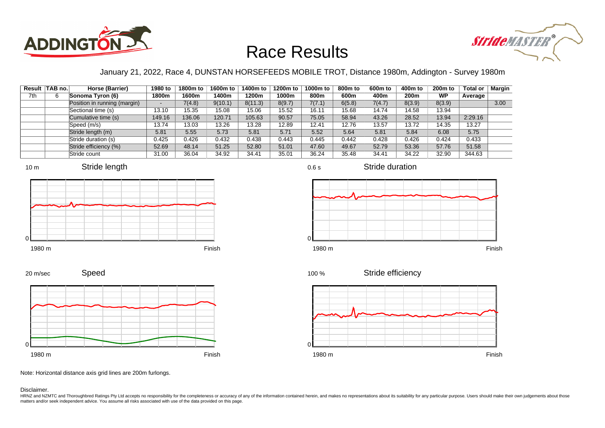



### January 21, 2022, Race 4, DUNSTAN HORSEFEEDS MOBILE TROT, Distance 1980m, Addington - Survey 1980m

0.6 s

|     | Result TAB no. | Horse (Barrier)              | 1980 to | 1800m to | 1600m to | 1400m to | 1200m to | 1000m to | 800m to | 600 <sub>m</sub> to | 400m to | 200 <sub>m</sub> to | <b>Total or</b> | Margin |
|-----|----------------|------------------------------|---------|----------|----------|----------|----------|----------|---------|---------------------|---------|---------------------|-----------------|--------|
| 7th |                | Sonoma Tyron (6)             | 1800m   | 1600m    | 1400m    | 1200m    | 1000m    | 800m     | 600m    | 400m                | 200m    | <b>WP</b>           | Average         |        |
|     |                | Position in running (margin) | $\sim$  | 7(4.8)   | 9(10.1)  | 8(11.3)  | 8(9.7)   | 7(7.1)   | 6(5.8)  | 7(4.7)              | 8(3.9)  | 8(3.9)              |                 | 3.00   |
|     |                | Sectional time (s)           | 13.10   | 15.35    | 15.08    | 15.06    | 15.52    | 16.11    | 15.68   | 14.74               | 14.58   | 13.94               |                 |        |
|     |                | Cumulative time (s)          | 149.16  | 136.06   | 120.71   | 105.63   | 90.57    | 75.05    | 58.94   | 43.26               | 28.52   | 13.94               | 2:29.16         |        |
|     |                | Speed (m/s)                  | 13.74   | 13.03    | 13.26    | 13.28    | 12.89    | 12.41    | 12.76   | 13.57               | 13.72   | 14.35               | 13.27           |        |
|     |                | Stride length (m)            | 5.81    | 5.55     | 5.73     | 5.81     | 5.71     | 5.52     | 5.64    | 5.81                | 5.84    | 6.08                | 5.75            |        |
|     |                | Stride duration (s)          | 0.425   | 0.426    | 0.432    | 0.438    | 0.443    | 0.445    | 0.442   | 0.428               | 0.426   | 0.424               | 0.433           |        |
|     |                | Stride efficiency (%)        | 52.69   | 48.14    | 51.25    | 52.80    | 51.01    | 47.60    | 49.67   | 52.79               | 53.36   | 57.76               | 51.58           |        |
|     |                | Stride count                 | 31.00   | 36.04    | 34.92    | 34.41    | 35.01    | 36.24    | 35.48   | 34.41               | 34.22   | 32.90               | 344.63          |        |

















Note: Horizontal distance axis grid lines are 200m furlongs.

Speed

#### Disclaimer.

20 m/sec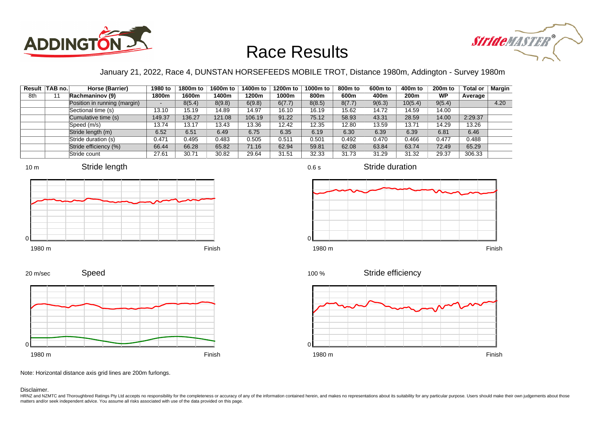



### January 21, 2022, Race 4, DUNSTAN HORSEFEEDS MOBILE TROT, Distance 1980m, Addington - Survey 1980m

0.6 s

|     | Result TAB no. | Horse (Barrier)              | 1980 to                  | 1800m to | 1600m to | 1400m to | 1200m to | 1000m to | 800m to | 600 <sub>m</sub> to | 400m to | 200 <sub>m</sub> to | <b>Total or</b> | Margin |
|-----|----------------|------------------------------|--------------------------|----------|----------|----------|----------|----------|---------|---------------------|---------|---------------------|-----------------|--------|
| 8th |                | Rachmaninov (9)              | 1800m                    | 1600m    | 1400m    | 1200m    | 1000m    | 800m     | 600m    | 400m                | 200m    | <b>WP</b>           | Average         |        |
|     |                | Position in running (margin) | $\overline{\phantom{0}}$ | 8(5.4)   | 8(9.8)   | 6(9.8)   | 6(7.7)   | 8(8.5)   | 8(7.7)  | 9(6.3)              | 10(5.4) | 9(5.4)              |                 | 4.20   |
|     |                | Sectional time (s)           | 13.10                    | 15.19    | 14.89    | 14.97    | 16.10    | 16.19    | 15.62   | 14.72               | 14.59   | 14.00               |                 |        |
|     |                | Cumulative time (s)          | 149.37                   | 136.27   | 121.08   | 106.19   | 91.22    | 75.12    | 58.93   | 43.31               | 28.59   | 14.00               | 2:29.37         |        |
|     |                | Speed (m/s)                  | 13.74                    | 13.17    | 13.43    | 13.36    | 12.42    | 12.35    | 12.80   | 13.59               | 13.71   | 14.29               | 13.26           |        |
|     |                | Stride length (m)            | 6.52                     | 6.51     | 6.49     | 6.75     | 6.35     | 6.19     | 6.30    | 6.39                | 6.39    | 6.81                | 6.46            |        |
|     |                | Stride duration (s)          | 0.471                    | 0.495    | 0.483    | 0.505    | 0.511    | 0.501    | 0.492   | 0.470               | 0.466   | 0.477               | 0.488           |        |
|     |                | Stride efficiency (%)        | 66.44                    | 66.28    | 65.82    | 71.16    | 62.94    | 59.81    | 62.08   | 63.84               | 63.74   | 72.49               | 65.29           |        |
|     |                | Stride count                 | 27.61                    | 30.71    | 30.82    | 29.64    | 31.51    | 32.33    | 31.73   | 31.29               | 31.32   | 29.37               | 306.33          |        |







Stride duration









Note: Horizontal distance axis grid lines are 200m furlongs.

Disclaimer.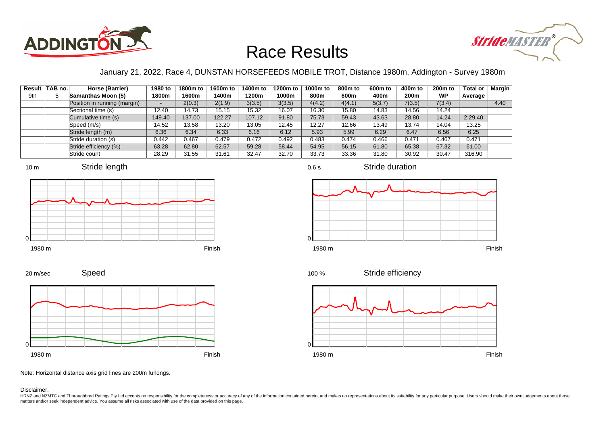



### January 21, 2022, Race 4, DUNSTAN HORSEFEEDS MOBILE TROT, Distance 1980m, Addington - Survey 1980m

|     | Result TAB no. | Horse (Barrier)              | 1980 to                  | 1800m to | 1600m to | 1400m to | 1200m to | 1000m to | 800m to | 600 <sub>m</sub> to | 400m to | 200 <sub>m</sub> to | <b>Total or</b> | Margin |
|-----|----------------|------------------------------|--------------------------|----------|----------|----------|----------|----------|---------|---------------------|---------|---------------------|-----------------|--------|
| 9th | w              | Samanthas Moon (5)           | 1800m                    | 1600m    | 1400m    | 1200m    | 1000m    | 800m     | 600m    | 400m                | 200m    | <b>WP</b>           | Average         |        |
|     |                | Position in running (margin) | $\overline{\phantom{0}}$ | 2(0.3)   | 2(1.9)   | 3(3.5)   | 3(3.5)   | 4(4.2)   | 4(4.1)  | 5(3.7)              | 7(3.5)  | 7(3.4)              |                 | 4.40   |
|     |                | Sectional time (s)           | 12.40                    | 14.73    | 15.15    | 15.32    | 16.07    | 16.30    | 15.80   | 14.83               | 14.56   | 14.24               |                 |        |
|     |                | Cumulative time (s)          | 149.40                   | 137.00   | 122.27   | 107.12   | 91.80    | 75.73    | 59.43   | 43.63               | 28.80   | 14.24               | 2:29.40         |        |
|     |                | Speed (m/s)                  | 14.52                    | 13.58    | 13.20    | 13.05    | 12.45    | 12.27    | 12.66   | 13.49               | 13.74   | 14.04               | 13.25           |        |
|     |                | Stride length (m)            | 6.36                     | 6.34     | 6.33     | 6.16     | 6.12     | 5.93     | 5.99    | 6.29                | 6.47    | 6.56                | 6.25            |        |
|     |                | Stride duration (s)          | 0.442                    | 0.467    | 0.479    | 0.472    | 0.492    | 0.483    | 0.474   | 0.466               | 0.471   | 0.467               | 0.471           |        |
|     |                | Stride efficiency (%)        | 63.28                    | 62.80    | 62.57    | 59.28    | 58.44    | 54.95    | 56.15   | 61.80               | 65.38   | 67.32               | 61.00           |        |
|     |                | Stride count                 | 28.29                    | 31.55    | 31.61    | 32.47    | 32.70    | 33.73    | 33.36   | 31.80               | 30.92   | 30.47               | 316.90          |        |







1980 m Finish





Stride duration



Speed 20 m/sec



Note: Horizontal distance axis grid lines are 200m furlongs.

#### Disclaimer.

HRNZ and NZMTC and Thoroughbred Ratings Pty Ltd accepts no responsibility for the completeness or accuracy of any of the information contained herein, and makes no representations about its suitability for any particular p matters and/or seek independent advice. You assume all risks associated with use of the data provided on this page.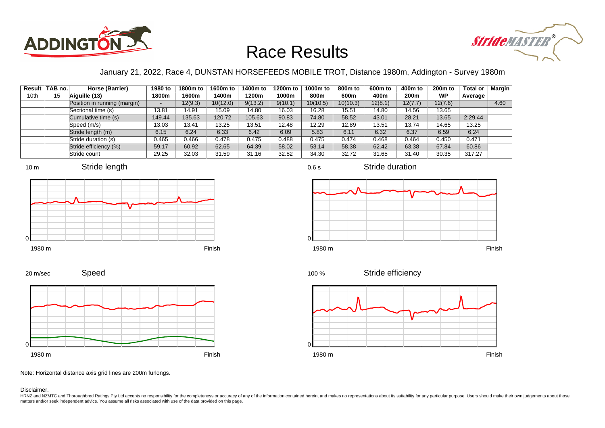



### January 21, 2022, Race 4, DUNSTAN HORSEFEEDS MOBILE TROT, Distance 1980m, Addington - Survey 1980m

|      | Result   TAB no. | Horse (Barrier)              | 1980 to                  | 1800m to | 1600m to | 1400m to | 1200m to | 1000m to | 800m to  | 600 <sub>m</sub> to | 400m to | 200 <sub>m</sub> to | <b>Total or</b> | Margin |
|------|------------------|------------------------------|--------------------------|----------|----------|----------|----------|----------|----------|---------------------|---------|---------------------|-----------------|--------|
| 10th | 15               | Aiguille (13)                | 1800m                    | 1600m    | 1400m    | 1200m    | 1000m    | 800m     | 600m     | 400m                | 200m    | <b>WP</b>           | Average         |        |
|      |                  | Position in running (margin) | $\overline{\phantom{a}}$ | 12(9.3)  | 10(12.0) | 9(13.2)  | 9(10.1)  | 10(10.5) | 10(10.3) | 12(8.1)             | 12(7.7) | 12(7.6)             |                 | 4.60   |
|      |                  | Sectional time (s)           | 13.81                    | 14.91    | 15.09    | 14.80    | 16.03    | 16.28    | 15.51    | 14.80               | 14.56   | 13.65               |                 |        |
|      |                  | Cumulative time (s)          | 149.44                   | 135.63   | 120.72   | 105.63   | 90.83    | 74.80    | 58.52    | 43.01               | 28.21   | 13.65               | 2:29.44         |        |
|      |                  | Speed (m/s)                  | 13.03                    | 13.41    | 13.25    | 13.51    | 12.48    | 12.29    | 12.89    | 13.51               | 13.74   | 14.65               | 13.25           |        |
|      |                  | Stride length (m)            | 6.15                     | 6.24     | 6.33     | 6.42     | 6.09     | 5.83     | 6.11     | 6.32                | 6.37    | 6.59                | 6.24            |        |
|      |                  | Stride duration (s)          | 0.465                    | 0.466    | 0.478    | 0.475    | 0.488    | 0.475    | 0.474    | 0.468               | 0.464   | 0.450               | 0.471           |        |
|      |                  | Stride efficiency (%)        | 59.17                    | 60.92    | 62.65    | 64.39    | 58.02    | 53.14    | 58.38    | 62.42               | 63.38   | 67.84               | 60.86           |        |
|      |                  | Stride count                 | 29.25                    | 32.03    | 31.59    | 31.16    | 32.82    | 34.30    | 32.72    | 31.65               | 31.40   | 30.35               | 317.27          |        |







Stride duration









Note: Horizontal distance axis grid lines are 200m furlongs.

#### Disclaimer.

HRNZ and NZMTC and Thoroughbred Ratings Pty Ltd accepts no responsibility for the completeness or accuracy of any of the information contained herein, and makes no representations about its suitability for any particular p matters and/or seek independent advice. You assume all risks associated with use of the data provided on this page.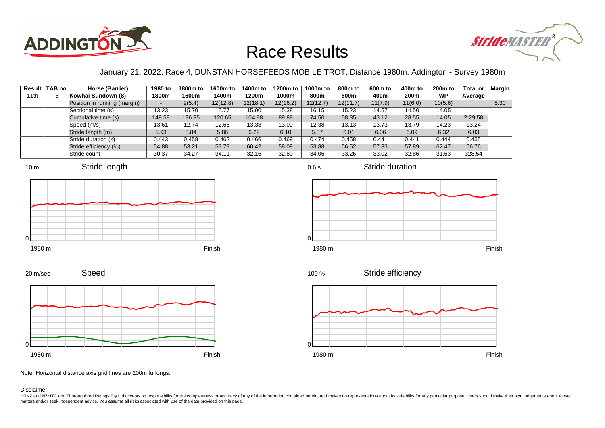



### January 21, 2022, Race 4, DUNSTAN HORSEFEEDS MOBILE TROT, Distance 1980m, Addington - Survey 1980m

|      | Result   TAB no. | Horse (Barrier)              | 1980 to | 1800m to | 1600m to | 1400m to | 1200m to | 1000m to | 800 <sub>m</sub> to | 600m to | 400m to | 200 <sub>m</sub> to | <b>Total or</b> | Margin |
|------|------------------|------------------------------|---------|----------|----------|----------|----------|----------|---------------------|---------|---------|---------------------|-----------------|--------|
| 11th |                  | Kowhai Sundown (8)           | 1800m   | 1600m    | 1400m    | 1200m    | 1000m    | 800m     | 600m                | 400m    | 200m    | <b>WP</b>           | Average         |        |
|      |                  | Position in running (margin) |         | 9(5.4)   | 12(12.8) | 12(18.1) | 12(16.2) | 12(12.7) | 12(11.7)            | 11(7.9) | 11(6.0) | 10(5.6)             |                 | 5.30   |
|      |                  | Sectional time (s)           | 13.23   | 15.70    | 15.77    | 15.00    | 15.38    | 16.15    | 15.23               | 14.57   | 14.50   | 14.05               |                 |        |
|      |                  | Cumulative time (s)          | 149.58  | 136.35   | 120.65   | 104.88   | 89.88    | 74.50    | 58.35               | 43.12   | 28.55   | 14.05               | 2:29.58         |        |
|      |                  | Speed (m/s)                  | 13.61   | 12.74    | 12.68    | 13.33    | 13.00    | 12.38    | 13.13               | 13.73   | 13.79   | 14.23               | 13.24           |        |
|      |                  | Stride length (m)            | 5.93    | 5.84     | 5.86     | 6.22     | 6.10     | 5.87     | 6.01                | 6.06    | 6.09    | 6.32                | 6.03            |        |
|      |                  | Stride duration (s)          | 0.443   | 0.458    | 0.462    | 0.466    | 0.469    | 0.474    | 0.458               | 0.441   | 0.441   | 0.444               | 0.455           |        |
|      |                  | Stride efficiency (%)        | 54.88   | 53.21    | 53.73    | 60.42    | 58.09    | 53.88    | 56.52               | 57.33   | 57.89   | 62.47               | 56.76           |        |
|      |                  | Stride count                 | 30.37   | 34.27    | 34.11    | 32.16    | 32.80    | 34.06    | 33.26               | 33.02   | 32.86   | 31.63               | 328.54          |        |















Speed 20 m/sec



Note: Horizontal distance axis grid lines are 200m furlongs.

Disclaimer.

HRNZ and NZMTC and Thoroughbred Ratings Pty Ltd accepts no responsibility for the completeness or accuracy of any of the information contained herein, and makes no representations about its suitability for any particular p matters and/or seek independent advice. You assume all risks associated with use of the data provided on this page.

0.6 s

Stride duration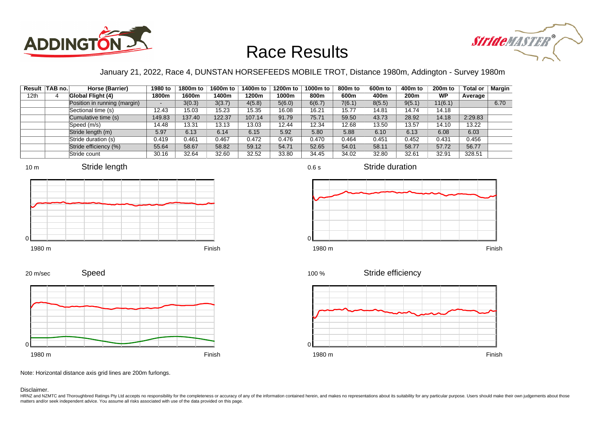



### January 21, 2022, Race 4, DUNSTAN HORSEFEEDS MOBILE TROT, Distance 1980m, Addington - Survey 1980m

|                  | Result TAB no. | Horse (Barrier)              | 1980 to | 1800m to | 1600m to | 1400m to | 1200m to | 1000m to | 800m to | 600 <sub>m</sub> to | 400m to | 200 <sub>m</sub> to | <b>Total or</b> | Margin |
|------------------|----------------|------------------------------|---------|----------|----------|----------|----------|----------|---------|---------------------|---------|---------------------|-----------------|--------|
| 12 <sub>th</sub> |                | Global Flight (4)            | 1800m   | 1600m    | 1400m    | 1200m    | 1000m    | 800m     | 600m    | 400m                | 200m    | <b>WP</b>           | Average         |        |
|                  |                | Position in running (margin) |         | 3(0.3)   | 3(3.7)   | 4(5.8)   | 5(6.0)   | 6(6.7)   | 7(6.1)  | 8(5.5)              | 9(5.1)  | 11(6.1)             |                 | 6.70   |
|                  |                | Sectional time (s)           | 12.43   | 15.03    | 15.23    | 15.35    | 16.08    | 16.21    | 15.77   | 14.81               | 14.74   | 14.18               |                 |        |
|                  |                | Cumulative time (s)          | 149.83  | 137.40   | 122.37   | 107.14   | 91.79    | 75.71    | 59.50   | 43.73               | 28.92   | 14.18               | 2:29.83         |        |
|                  |                | Speed (m/s)                  | 14.48   | 13.31    | 13.13    | 13.03    | 12.44    | 12.34    | 12.68   | 13.50               | 13.57   | 14.10               | 13.22           |        |
|                  |                | Stride length (m)            | 5.97    | 6.13     | 6.14     | 6.15     | 5.92     | 5.80     | 5.88    | 6.10                | 6.13    | 6.08                | 6.03            |        |
|                  |                | Stride duration (s)          | 0.419   | 0.461    | 0.467    | 0.472    | 0.476    | 0.470    | 0.464   | 0.451               | 0.452   | 0.431               | 0.456           |        |
|                  |                | Stride efficiency (%)        | 55.64   | 58.67    | 58.82    | 59.12    | 54.71    | 52.65    | 54.01   | 58.11               | 58.77   | 57.72               | 56.77           |        |
|                  |                | Stride count                 | 30.16   | 32.64    | 32.60    | 32.52    | 33.80    | 34.45    | 34.02   | 32.80               | 32.61   | 32.91               | 328.51          |        |









1980 m Finish







Speed 20 m/sec



Note: Horizontal distance axis grid lines are 200m furlongs.

Disclaimer.

HRNZ and NZMTC and Thoroughbred Ratings Pty Ltd accepts no responsibility for the completeness or accuracy of any of the information contained herein, and makes no representations about its suitability for any particular p matters and/or seek independent advice. You assume all risks associated with use of the data provided on this page.

0.6 s

Stride duration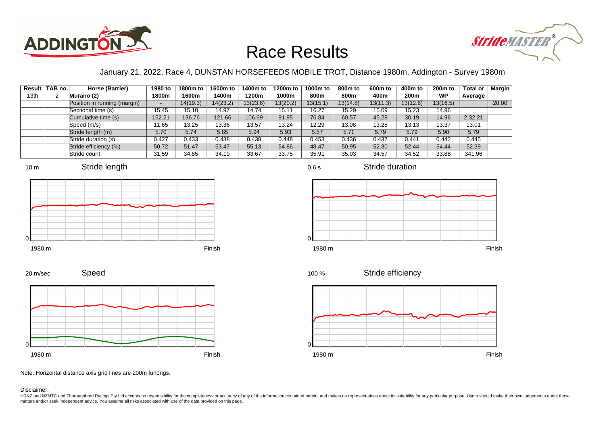



### January 21, 2022, Race 4, DUNSTAN HORSEFEEDS MOBILE TROT, Distance 1980m, Addington - Survey 1980m

|                  | Result   TAB no. | Horse (Barrier)              | 1980 to                  | 1800m to | 1600m to | 1400m to | 1200m to | 1000m to | 800m to  | 600 <sub>m</sub> to | 400m to  | 200 <sub>m</sub> to | <b>Total or</b> | Margin |
|------------------|------------------|------------------------------|--------------------------|----------|----------|----------|----------|----------|----------|---------------------|----------|---------------------|-----------------|--------|
| 13 <sub>th</sub> |                  | Murano (2)                   | 1800m                    | 1600m    | 1400m    | 1200m    | 1000m    | 800m     | 600m     | 400m                | 200m     | <b>WP</b>           | Average         |        |
|                  |                  | Position in running (margin) | $\overline{\phantom{a}}$ | 14(19.3) | 14(23.2) | 13(23.6) | 13(20.2) | 13(15.1) | 13(14.8) | 13(11.3)            | 13(12.6) | 13(16.5)            |                 | 20.00  |
|                  |                  | Sectional time (s)           | 15.45                    | 15.10    | 14.97    | 14.74    | 15.11    | 16.27    | 15.29    | 15.09               | 15.23    | 14.96               |                 |        |
|                  |                  | Cumulative time (s)          | 152.21                   | 136.76   | 121.66   | 106.69   | 91.95    | 76.84    | 60.57    | 45.28               | 30.19    | 14.96               | 2:32.21         |        |
|                  |                  | Speed (m/s)                  | 11.65                    | 13.25    | 13.36    | 13.57    | 13.24    | 12.29    | 13.08    | 13.25               | 13.13    | 13.37               | 13.01           |        |
|                  |                  | Stride length (m)            | 5.70                     | 5.74     | 5.85     | 5.94     | 5.93     | 5.57     | 5.71     | 5.79                | 5.79     | 5.90                | 5.79            |        |
|                  |                  | Stride duration (s)          | 0.427                    | 0.433    | 0.438    | 0.438    | 0.448    | 0.453    | 0.436    | 0.437               | 0.441    | 0.442               | 0.445           |        |
|                  |                  | Stride efficiency (%)        | 50.72                    | 51.47    | 53.47    | 55.13    | 54.86    | 48.47    | 50.95    | 52.30               | 52.44    | 54.44               | 52.39           |        |
|                  |                  | Stride count                 | 31.59                    | 34.85    | 34.19    | 33.67    | 33.75    | 35.91    | 35.03    | 34.57               | 34.52    | 33.88               | 341.96          |        |









Stride duration





Speed 20 m/sec



Note: Horizontal distance axis grid lines are 200m furlongs.

#### Disclaimer.